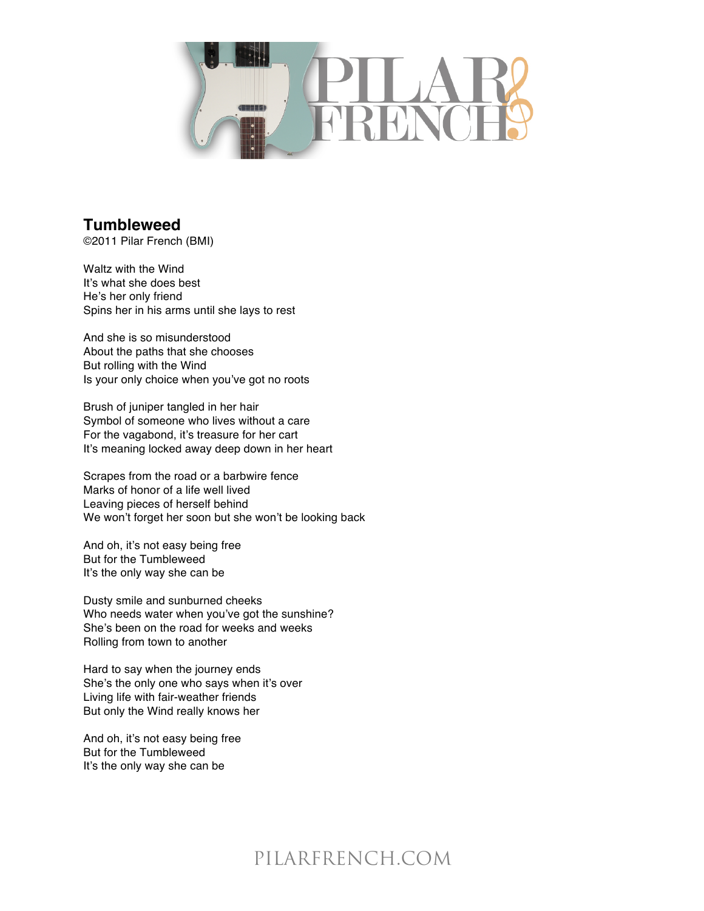

## **Tumbleweed**

©2011 Pilar French (BMI)

Waltz with the Wind It's what she does best He's her only friend Spins her in his arms until she lays to rest

And she is so misunderstood About the paths that she chooses But rolling with the Wind Is your only choice when you've got no roots

Brush of juniper tangled in her hair Symbol of someone who lives without a care For the vagabond, it's treasure for her cart It's meaning locked away deep down in her heart

Scrapes from the road or a barbwire fence Marks of honor of a life well lived Leaving pieces of herself behind We won't forget her soon but she won't be looking back

And oh, it's not easy being free But for the Tumbleweed It's the only way she can be

Dusty smile and sunburned cheeks Who needs water when you've got the sunshine? She's been on the road for weeks and weeks Rolling from town to another

Hard to say when the journey ends She's the only one who says when it's over Living life with fair-weather friends But only the Wind really knows her

And oh, it's not easy being free But for the Tumbleweed It's the only way she can be

## PILARFRENCH.COM